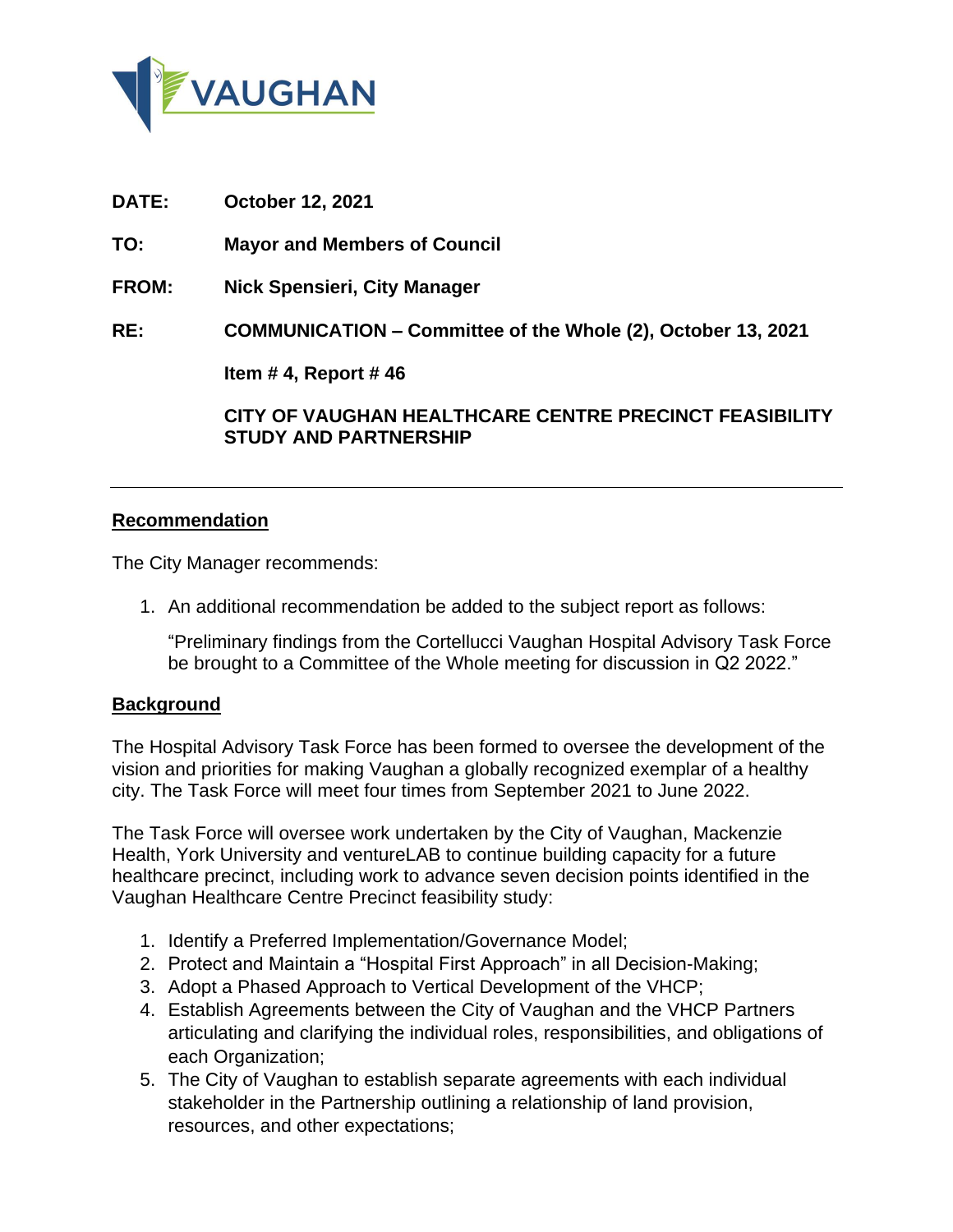

**DATE: October 12, 2021**

**TO: Mayor and Members of Council**

**FROM: Nick Spensieri, City Manager**

**RE: COMMUNICATION – Committee of the Whole (2), October 13, 2021** 

**Item # 4, Report # 46**

**CITY OF VAUGHAN HEALTHCARE CENTRE PRECINCT FEASIBILITY STUDY AND PARTNERSHIP**

## **Recommendation**

The City Manager recommends:

1. An additional recommendation be added to the subject report as follows:

"Preliminary findings from the Cortellucci Vaughan Hospital Advisory Task Force be brought to a Committee of the Whole meeting for discussion in Q2 2022."

## **Background**

The Hospital Advisory Task Force has been formed to oversee the development of the vision and priorities for making Vaughan a globally recognized exemplar of a healthy city. The Task Force will meet four times from September 2021 to June 2022.

The Task Force will oversee work undertaken by the City of Vaughan, Mackenzie Health, York University and ventureLAB to continue building capacity for a future healthcare precinct, including work to advance seven decision points identified in the Vaughan Healthcare Centre Precinct feasibility study:

- 1. Identify a Preferred Implementation/Governance Model;
- 2. Protect and Maintain a "Hospital First Approach" in all Decision-Making;
- 3. Adopt a Phased Approach to Vertical Development of the VHCP;
- 4. Establish Agreements between the City of Vaughan and the VHCP Partners articulating and clarifying the individual roles, responsibilities, and obligations of each Organization;
- 5. The City of Vaughan to establish separate agreements with each individual stakeholder in the Partnership outlining a relationship of land provision, resources, and other expectations;